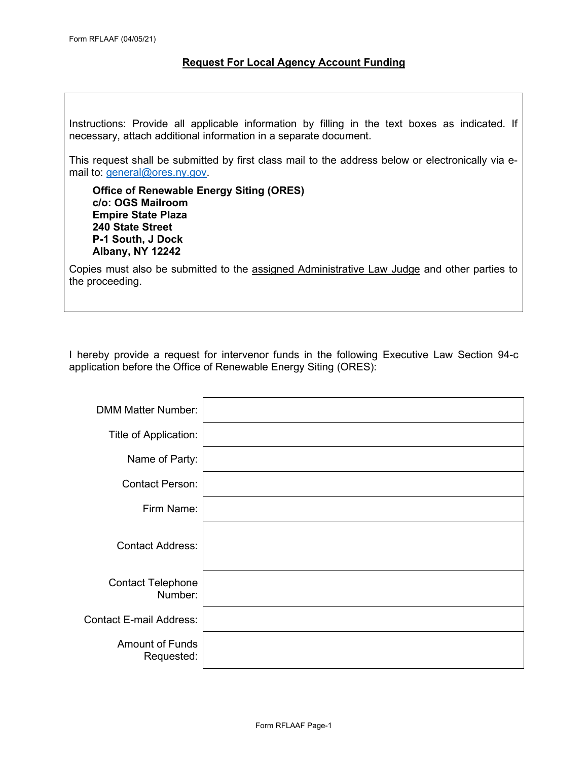#### **Request For Local Agency Account Funding**

Instructions: Provide all applicable information by filling in the text boxes as indicated. If necessary, attach additional information in a separate document.

This request shall be submitted by first class mail to the address below or electronically via email to: general@ores.ny.gov.

**Office of Renewable Energy Siting (ORES) c/o: OGS Mailroom Empire State Plaza 240 State Street P-1 South, J Dock Albany, NY 12242**

Copies must also be submitted to the assigned Administrative Law Judge and other parties to the proceeding.

I hereby provide a request for intervenor funds in the following Executive Law Section 94-c application before the Office of Renewable Energy Siting (ORES):

| <b>DMM Matter Number:</b>            |  |
|--------------------------------------|--|
| Title of Application:                |  |
| Name of Party:                       |  |
| <b>Contact Person:</b>               |  |
| Firm Name:                           |  |
| <b>Contact Address:</b>              |  |
| <b>Contact Telephone</b><br>Number:  |  |
| <b>Contact E-mail Address:</b>       |  |
| <b>Amount of Funds</b><br>Requested: |  |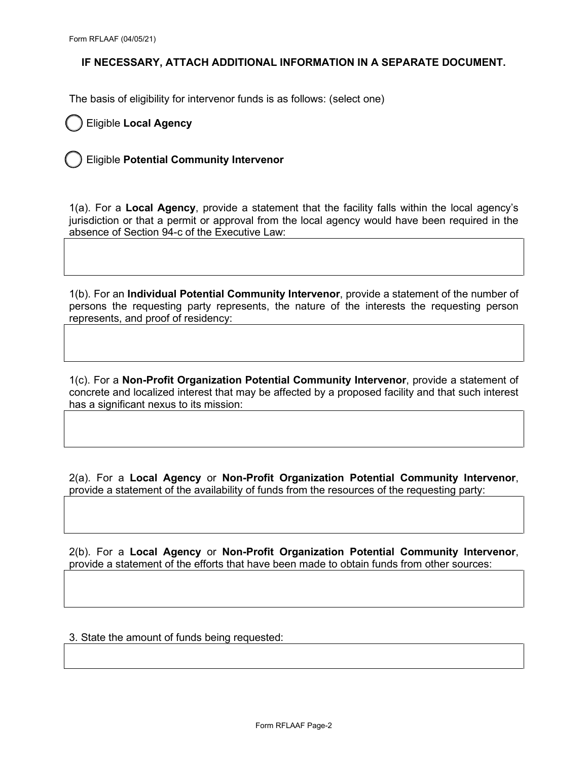The basis of eligibility for intervenor funds is as follows: (select one)

Eligible **Local Agency**

Eligible **Potential Community Intervenor**

1(a). For a **Local Agency**, provide a statement that the facility falls within the local agency's jurisdiction or that a permit or approval from the local agency would have been required in the absence of Section 94-c of the Executive Law:

1(b). For an **Individual Potential Community Intervenor**, provide a statement of the number of persons the requesting party represents, the nature of the interests the requesting person represents, and proof of residency:

1(c). For a **Non-Profit Organization Potential Community Intervenor**, provide a statement of concrete and localized interest that may be affected by a proposed facility and that such interest has a significant nexus to its mission:

2(a). For a **Local Agency** or **Non-Profit Organization Potential Community Intervenor**, provide a statement of the availability of funds from the resources of the requesting party:

2(b). For a **Local Agency** or **Non-Profit Organization Potential Community Intervenor**, provide a statement of the efforts that have been made to obtain funds from other sources:

3. State the amount of funds being requested: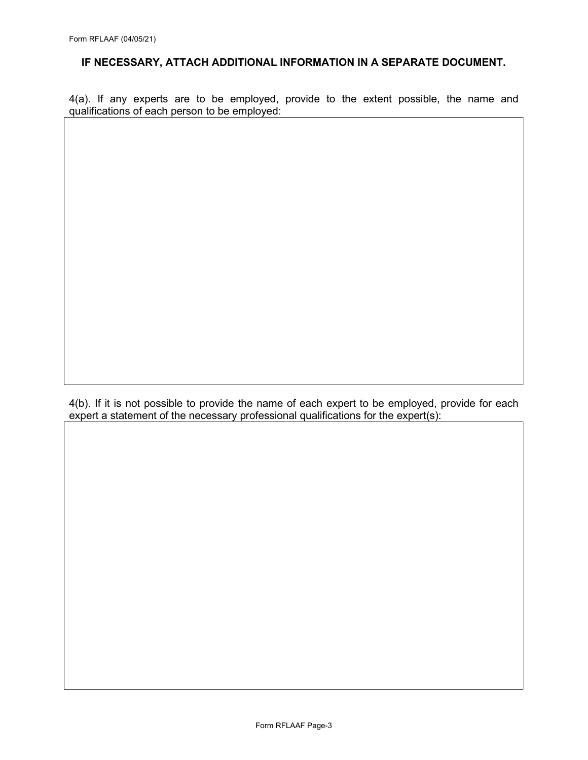4(a). If any experts are to be employed, provide to the extent possible, the name and qualifications of each person to be employed:

4(b). If it is not possible to provide the name of each expert to be employed, provide for each  $\overrightarrow{e}$  expert a statement of the necessary professional qualifications for the expert(s):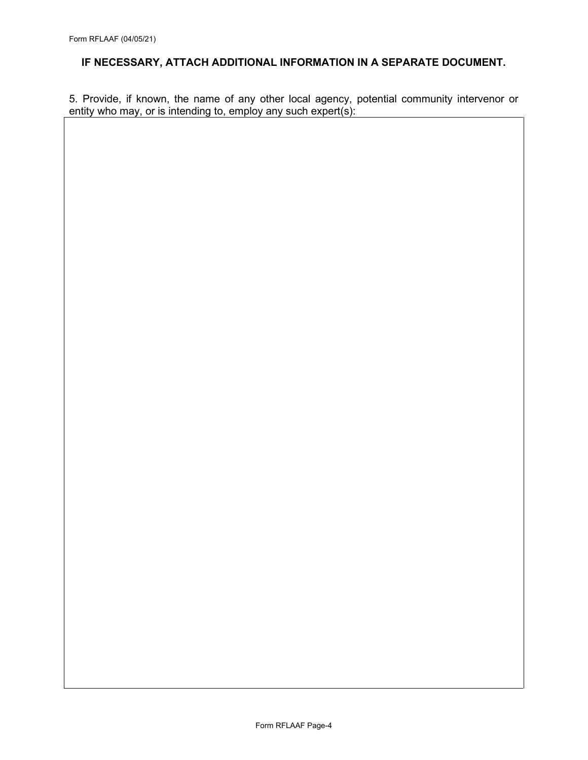5. Provide, if known, the name of any other local agency, potential community intervenor or entity who may, or is intending to, employ any such expert(s):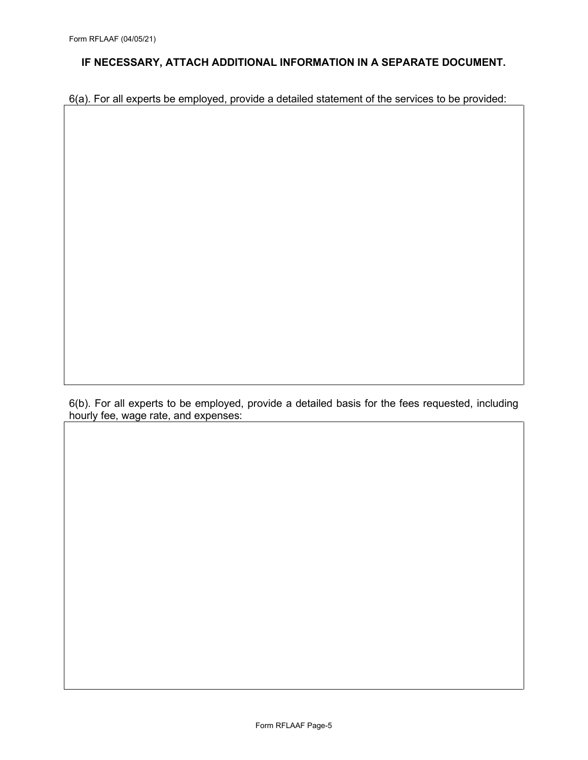6(a). For all experts be employed, provide a detailed statement of the services to be provided:

6(b). For all experts to be employed, provide a detailed basis for the fees requested, including hourly fee, wage rate, and expenses: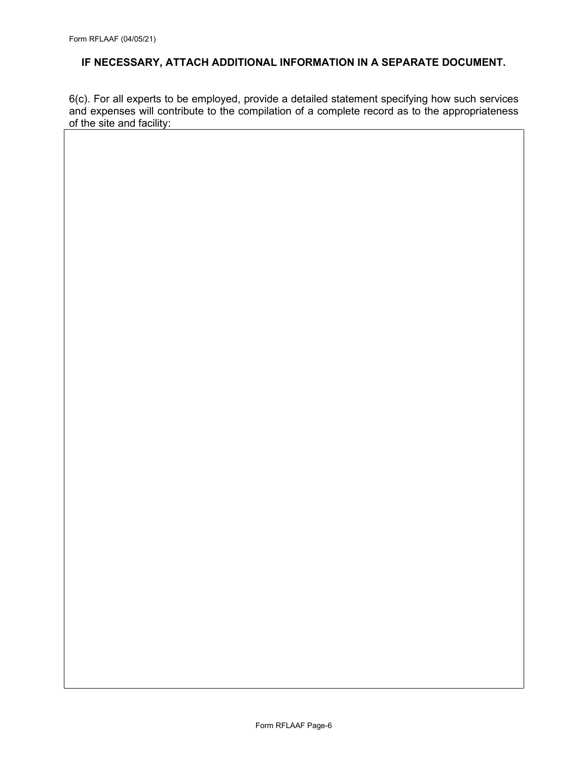6(c). For all experts to be employed, provide a detailed statement specifying how such services and expenses will contribute to the compilation of a complete record as to the appropriateness of the site and facility: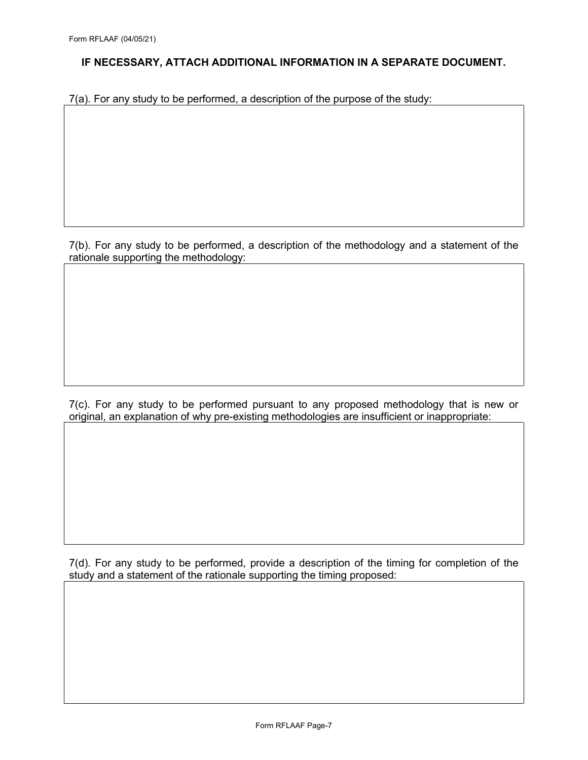7(a). For any study to be performed, a description of the purpose of the study:

7(b). For any study to be performed, a description of the methodology and a statement of the rationale supporting the methodology:

7(c). For any study to be performed pursuant to any proposed methodology that is new or original, an explanation of why pre-existing methodologies are insufficient or inappropriate:

7(d). For any study to be performed, provide a description of the timing for completion of the study and a statement of the rationale supporting the timing proposed: